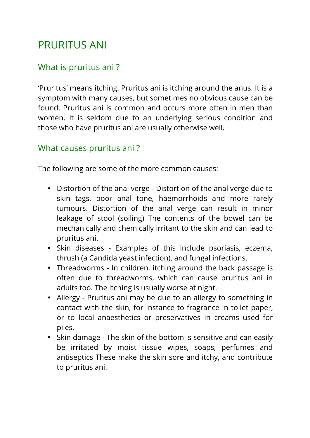# PRURITUS ANI

# What is pruritus ani ?

'Pruritus' means itching. Pruritus ani is itching around the anus. It is a symptom with many causes, but sometimes no obvious cause can be found. Pruritus ani is common and occurs more often in men than women. It is seldom due to an underlying serious condition and those who have pruritus ani are usually otherwise well.

#### What causes pruritus ani ?

The following are some of the more common causes:

- Distortion of the anal verge Distortion of the anal verge due to skin tags, poor anal tone, haemorrhoids and more rarely tumours. Distortion of the anal verge can result in minor leakage of stool (soiling) The contents of the bowel can be mechanically and chemically irritant to the skin and can lead to pruritus ani.
- Skin diseases Examples of this include psoriasis, eczema, thrush (a Candida yeast infection), and fungal infections.
- Threadworms In children, itching around the back passage is often due to threadworms, which can cause pruritus ani in adults too. The itching is usually worse at night.
- Allergy Pruritus ani may be due to an allergy to something in contact with the skin, for instance to fragrance in toilet paper, or to local anaesthetics or preservatives in creams used for piles.
- Skin damage The skin of the bottom is sensitive and can easily be irritated by moist tissue wipes, soaps, perfumes and antiseptics These make the skin sore and itchy, and contribute to pruritus ani.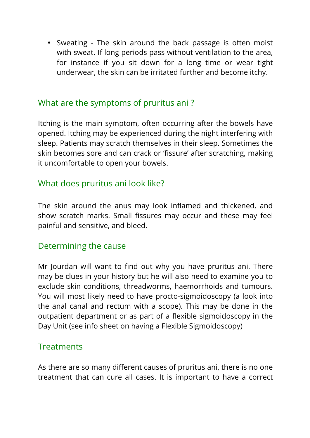• Sweating - The skin around the back passage is often moist with sweat. If long periods pass without ventilation to the area, for instance if you sit down for a long time or wear tight underwear, the skin can be irritated further and become itchy.

## What are the symptoms of pruritus ani ?

Itching is the main symptom, often occurring after the bowels have opened. Itching may be experienced during the night interfering with sleep. Patients may scratch themselves in their sleep. Sometimes the skin becomes sore and can crack or 'fissure' after scratching, making it uncomfortable to open your bowels.

## What does pruritus ani look like?

The skin around the anus may look inflamed and thickened, and show scratch marks. Small fissures may occur and these may feel painful and sensitive, and bleed.

#### Determining the cause

Mr Jourdan will want to find out why you have pruritus ani. There may be clues in your history but he will also need to examine you to exclude skin conditions, threadworms, haemorrhoids and tumours. You will most likely need to have procto-sigmoidoscopy (a look into the anal canal and rectum with a scope). This may be done in the outpatient department or as part of a flexible sigmoidoscopy in the Day Unit (see info sheet on having a Flexible Sigmoidoscopy)

#### **Treatments**

As there are so many different causes of pruritus ani, there is no one treatment that can cure all cases. It is important to have a correct